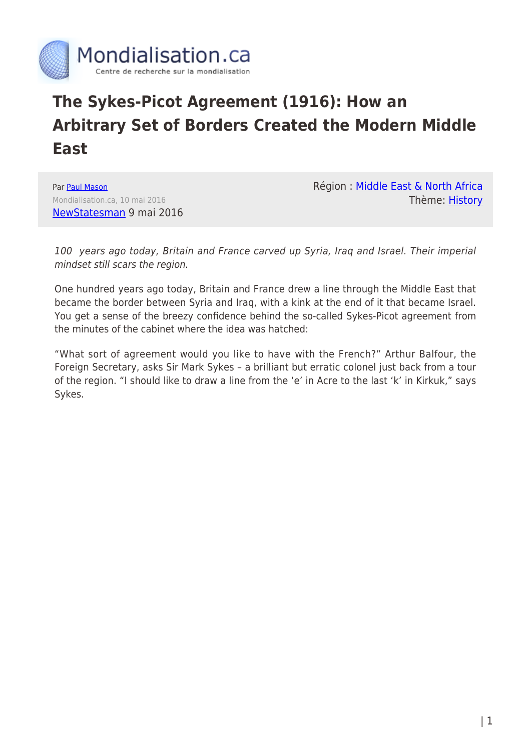

## **The Sykes-Picot Agreement (1916): How an Arbitrary Set of Borders Created the Modern Middle East**

Par [Paul Mason](https://www.mondialisation.ca/author/paul-mason) Mondialisation.ca, 10 mai 2016 [NewStatesman](http://www.newstatesman.com/world/middle-east/2016/05/paul-mason-sykes-picot-how-arbitrary-set-borders-created-modern-middle) 9 mai 2016 Région : [Middle East & North Africa](https://www.mondialisation.ca/region/middle-east) Thème: [History](https://www.mondialisation.ca/theme/culture-society-history)

100 years ago today, Britain and France carved up Syria, Iraq and Israel. Their imperial mindset still scars the region.

One hundred years ago today, Britain and France drew a line through the Middle East that became the border between Syria and Iraq, with a kink at the end of it that became Israel. You get a sense of the breezy confidence behind the so-called Sykes-Picot agreement from the minutes of the cabinet where the idea was hatched:

"What sort of agreement would you like to have with the French?" Arthur Balfour, the Foreign Secretary, asks Sir Mark Sykes – a brilliant but erratic colonel just back from a tour of the region. "I should like to draw a line from the 'e' in Acre to the last 'k' in Kirkuk," says Sykes.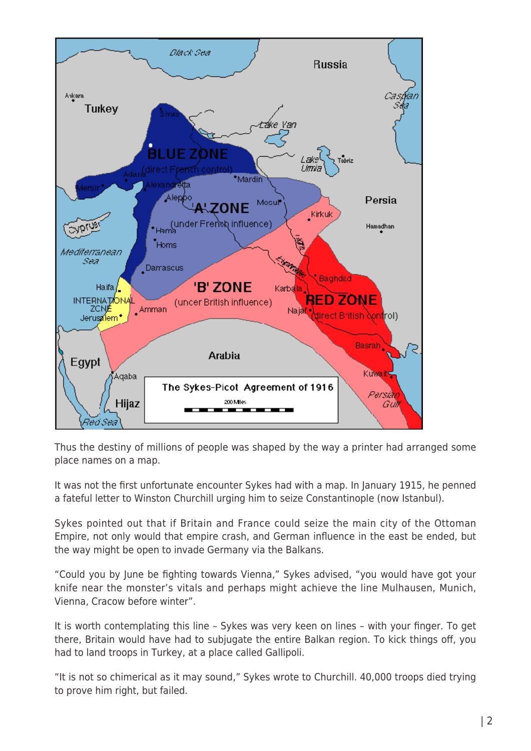

Thus the destiny of millions of people was shaped by the way a printer had arranged some place names on a map.

It was not the first unfortunate encounter Sykes had with a map. In January 1915, he penned a fateful letter to Winston Churchill urging him to seize Constantinople (now Istanbul).

Sykes pointed out that if Britain and France could seize the main city of the Ottoman Empire, not only would that empire crash, and German influence in the east be ended, but the way might be open to invade Germany via the Balkans.

"Could you by June be fighting towards Vienna," Sykes advised, "you would have got your knife near the monster's vitals and perhaps might achieve the line Mulhausen, Munich, Vienna, Cracow before winter".

It is worth contemplating this line – Sykes was very keen on lines – with your finger. To get there, Britain would have had to subjugate the entire Balkan region. To kick things off, you had to land troops in Turkey, at a place called Gallipoli.

"It is not so chimerical as it may sound," Sykes wrote to Churchill. 40,000 troops died trying to prove him right, but failed.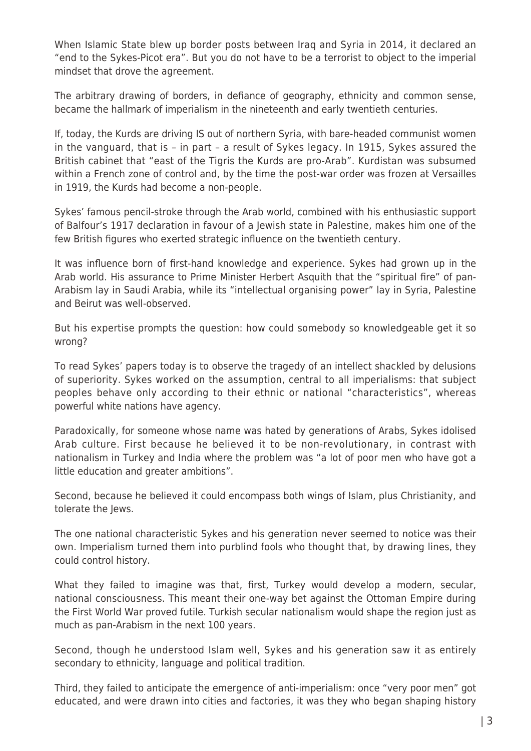When Islamic State blew up border posts between Iraq and Syria in 2014, it declared an "end to the Sykes-Picot era". But you do not have to be a terrorist to object to the imperial mindset that drove the agreement.

The arbitrary drawing of borders, in defiance of geography, ethnicity and common sense, became the hallmark of imperialism in the nineteenth and early twentieth centuries.

If, today, the Kurds are driving IS out of northern Syria, with bare-headed communist women in the vanguard, that is – in part – a result of Sykes legacy. In 1915, Sykes assured the British cabinet that "east of the Tigris the Kurds are pro-Arab". Kurdistan was subsumed within a French zone of control and, by the time the post-war order was frozen at Versailles in 1919, the Kurds had become a non-people.

Sykes' famous pencil-stroke through the Arab world, combined with his enthusiastic support of Balfour's 1917 declaration in favour of a Jewish state in Palestine, makes him one of the few British figures who exerted strategic influence on the twentieth century.

It was influence born of first-hand knowledge and experience. Sykes had grown up in the Arab world. His assurance to Prime Minister Herbert Asquith that the "spiritual fire" of pan-Arabism lay in Saudi Arabia, while its "intellectual organising power" lay in Syria, Palestine and Beirut was well-observed.

But his expertise prompts the question: how could somebody so knowledgeable get it so wrong?

To read Sykes' papers today is to observe the tragedy of an intellect shackled by delusions of superiority. Sykes worked on the assumption, central to all imperialisms: that subject peoples behave only according to their ethnic or national "characteristics", whereas powerful white nations have agency.

Paradoxically, for someone whose name was hated by generations of Arabs, Sykes idolised Arab culture. First because he believed it to be non-revolutionary, in contrast with nationalism in Turkey and India where the problem was "a lot of poor men who have got a little education and greater ambitions".

Second, because he believed it could encompass both wings of Islam, plus Christianity, and tolerate the Jews.

The one national characteristic Sykes and his generation never seemed to notice was their own. Imperialism turned them into purblind fools who thought that, by drawing lines, they could control history.

What they failed to imagine was that, first, Turkey would develop a modern, secular, national consciousness. This meant their one-way bet against the Ottoman Empire during the First World War proved futile. Turkish secular nationalism would shape the region just as much as pan-Arabism in the next 100 years.

Second, though he understood Islam well, Sykes and his generation saw it as entirely secondary to ethnicity, language and political tradition.

Third, they failed to anticipate the emergence of anti-imperialism: once "very poor men" got educated, and were drawn into cities and factories, it was they who began shaping history